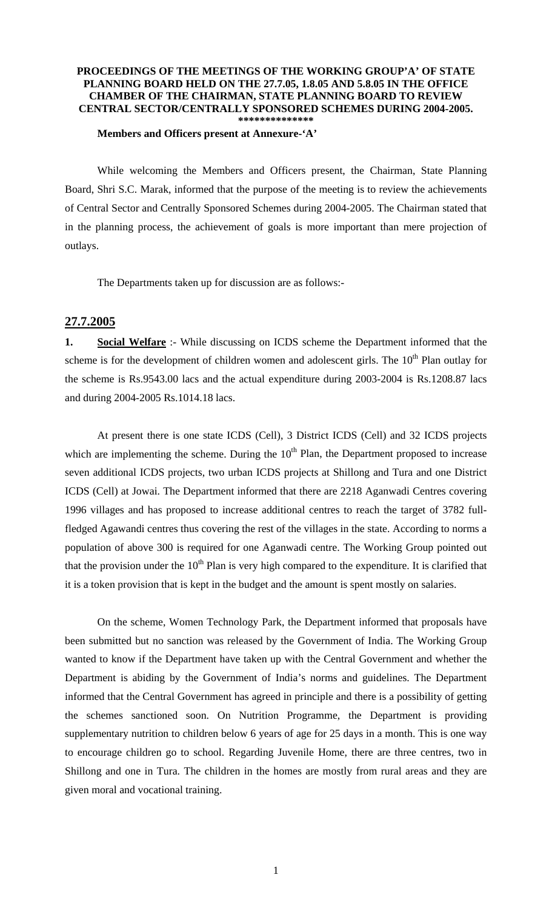#### **PROCEEDINGS OF THE MEETINGS OF THE WORKING GROUP'A' OF STATE PLANNING BOARD HELD ON THE 27.7.05, 1.8.05 AND 5.8.05 IN THE OFFICE CHAMBER OF THE CHAIRMAN, STATE PLANNING BOARD TO REVIEW CENTRAL SECTOR/CENTRALLY SPONSORED SCHEMES DURING 2004-2005. \*\*\*\*\*\*\*\*\*\*\*\*\*\***

#### **Members and Officers present at Annexure-'A'**

 While welcoming the Members and Officers present, the Chairman, State Planning Board, Shri S.C. Marak, informed that the purpose of the meeting is to review the achievements of Central Sector and Centrally Sponsored Schemes during 2004-2005. The Chairman stated that in the planning process, the achievement of goals is more important than mere projection of outlays.

The Departments taken up for discussion are as follows:-

## **27.7.2005**

**1. Social Welfare** :- While discussing on ICDS scheme the Department informed that the scheme is for the development of children women and adolescent girls. The  $10<sup>th</sup>$  Plan outlay for the scheme is Rs.9543.00 lacs and the actual expenditure during 2003-2004 is Rs.1208.87 lacs and during 2004-2005 Rs.1014.18 lacs.

 At present there is one state ICDS (Cell), 3 District ICDS (Cell) and 32 ICDS projects which are implementing the scheme. During the  $10<sup>th</sup>$  Plan, the Department proposed to increase seven additional ICDS projects, two urban ICDS projects at Shillong and Tura and one District ICDS (Cell) at Jowai. The Department informed that there are 2218 Aganwadi Centres covering 1996 villages and has proposed to increase additional centres to reach the target of 3782 fullfledged Agawandi centres thus covering the rest of the villages in the state. According to norms a population of above 300 is required for one Aganwadi centre. The Working Group pointed out that the provision under the  $10<sup>th</sup>$  Plan is very high compared to the expenditure. It is clarified that it is a token provision that is kept in the budget and the amount is spent mostly on salaries.

 On the scheme, Women Technology Park, the Department informed that proposals have been submitted but no sanction was released by the Government of India. The Working Group wanted to know if the Department have taken up with the Central Government and whether the Department is abiding by the Government of India's norms and guidelines. The Department informed that the Central Government has agreed in principle and there is a possibility of getting the schemes sanctioned soon. On Nutrition Programme, the Department is providing supplementary nutrition to children below 6 years of age for 25 days in a month. This is one way to encourage children go to school. Regarding Juvenile Home, there are three centres, two in Shillong and one in Tura. The children in the homes are mostly from rural areas and they are given moral and vocational training.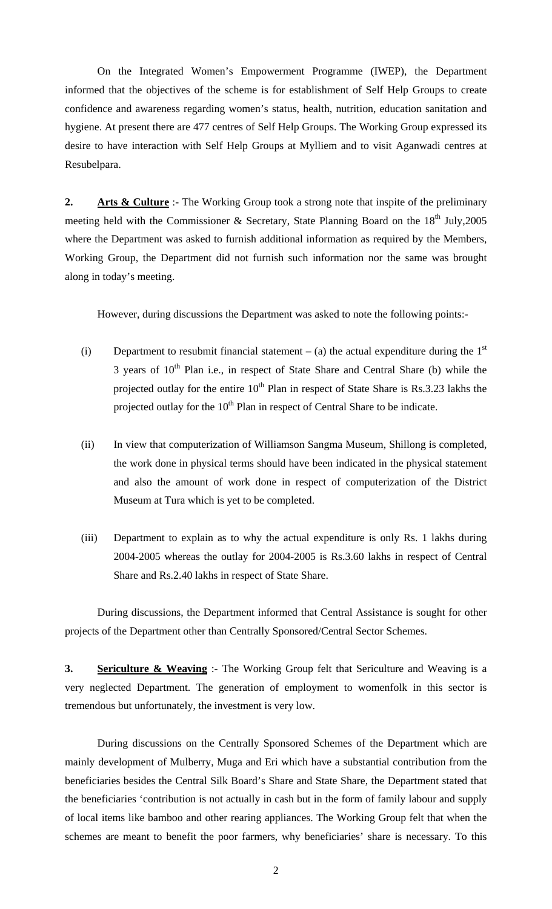On the Integrated Women's Empowerment Programme (IWEP), the Department informed that the objectives of the scheme is for establishment of Self Help Groups to create confidence and awareness regarding women's status, health, nutrition, education sanitation and hygiene. At present there are 477 centres of Self Help Groups. The Working Group expressed its desire to have interaction with Self Help Groups at Mylliem and to visit Aganwadi centres at Resubelpara.

**2. Arts & Culture** :- The Working Group took a strong note that inspite of the preliminary meeting held with the Commissioner & Secretary, State Planning Board on the  $18<sup>th</sup>$  July, 2005 where the Department was asked to furnish additional information as required by the Members, Working Group, the Department did not furnish such information nor the same was brought along in today's meeting.

However, during discussions the Department was asked to note the following points:-

- (i) Department to resubmit financial statement (a) the actual expenditure during the  $1<sup>st</sup>$ 3 years of  $10<sup>th</sup>$  Plan i.e., in respect of State Share and Central Share (b) while the projected outlay for the entire  $10^{th}$  Plan in respect of State Share is Rs.3.23 lakhs the projected outlay for the  $10<sup>th</sup>$  Plan in respect of Central Share to be indicate.
- (ii) In view that computerization of Williamson Sangma Museum, Shillong is completed, the work done in physical terms should have been indicated in the physical statement and also the amount of work done in respect of computerization of the District Museum at Tura which is yet to be completed.
- (iii) Department to explain as to why the actual expenditure is only Rs. 1 lakhs during 2004-2005 whereas the outlay for 2004-2005 is Rs.3.60 lakhs in respect of Central Share and Rs.2.40 lakhs in respect of State Share.

During discussions, the Department informed that Central Assistance is sought for other projects of the Department other than Centrally Sponsored/Central Sector Schemes.

**3. Sericulture & Weaving** :- The Working Group felt that Sericulture and Weaving is a very neglected Department. The generation of employment to womenfolk in this sector is tremendous but unfortunately, the investment is very low.

 During discussions on the Centrally Sponsored Schemes of the Department which are mainly development of Mulberry, Muga and Eri which have a substantial contribution from the beneficiaries besides the Central Silk Board's Share and State Share, the Department stated that the beneficiaries 'contribution is not actually in cash but in the form of family labour and supply of local items like bamboo and other rearing appliances. The Working Group felt that when the schemes are meant to benefit the poor farmers, why beneficiaries' share is necessary. To this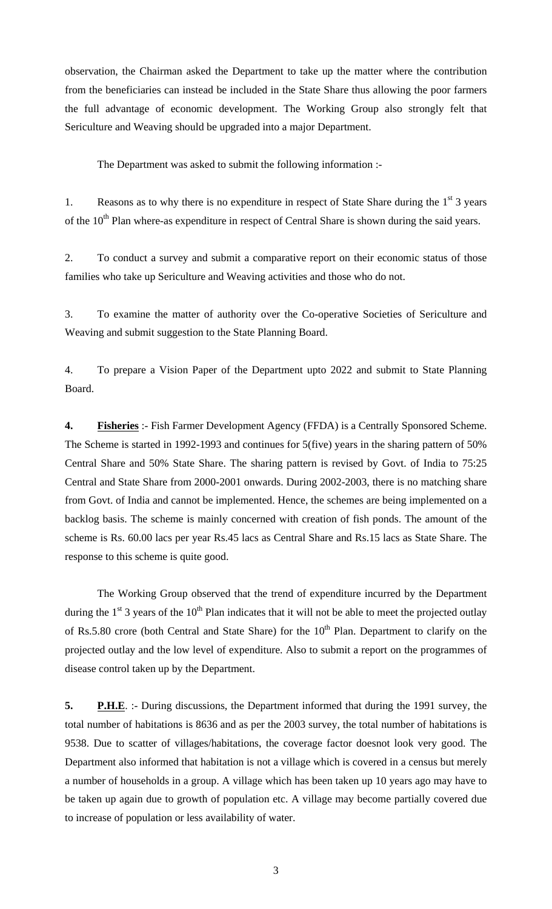observation, the Chairman asked the Department to take up the matter where the contribution from the beneficiaries can instead be included in the State Share thus allowing the poor farmers the full advantage of economic development. The Working Group also strongly felt that Sericulture and Weaving should be upgraded into a major Department.

The Department was asked to submit the following information :-

1. Reasons as to why there is no expenditure in respect of State Share during the  $1<sup>st</sup>$  3 years of the  $10<sup>th</sup>$  Plan where-as expenditure in respect of Central Share is shown during the said years.

2. To conduct a survey and submit a comparative report on their economic status of those families who take up Sericulture and Weaving activities and those who do not.

3. To examine the matter of authority over the Co-operative Societies of Sericulture and Weaving and submit suggestion to the State Planning Board.

4. To prepare a Vision Paper of the Department upto 2022 and submit to State Planning Board.

**4. Fisheries** :- Fish Farmer Development Agency (FFDA) is a Centrally Sponsored Scheme. The Scheme is started in 1992-1993 and continues for 5(five) years in the sharing pattern of 50% Central Share and 50% State Share. The sharing pattern is revised by Govt. of India to 75:25 Central and State Share from 2000-2001 onwards. During 2002-2003, there is no matching share from Govt. of India and cannot be implemented. Hence, the schemes are being implemented on a backlog basis. The scheme is mainly concerned with creation of fish ponds. The amount of the scheme is Rs. 60.00 lacs per year Rs.45 lacs as Central Share and Rs.15 lacs as State Share. The response to this scheme is quite good.

 The Working Group observed that the trend of expenditure incurred by the Department during the  $1<sup>st</sup>$  3 years of the  $10<sup>th</sup>$  Plan indicates that it will not be able to meet the projected outlay of Rs.5.80 crore (both Central and State Share) for the  $10<sup>th</sup>$  Plan. Department to clarify on the projected outlay and the low level of expenditure. Also to submit a report on the programmes of disease control taken up by the Department.

**5. P.H.E.** :- During discussions, the Department informed that during the 1991 survey, the total number of habitations is 8636 and as per the 2003 survey, the total number of habitations is 9538. Due to scatter of villages/habitations, the coverage factor doesnot look very good. The Department also informed that habitation is not a village which is covered in a census but merely a number of households in a group. A village which has been taken up 10 years ago may have to be taken up again due to growth of population etc. A village may become partially covered due to increase of population or less availability of water.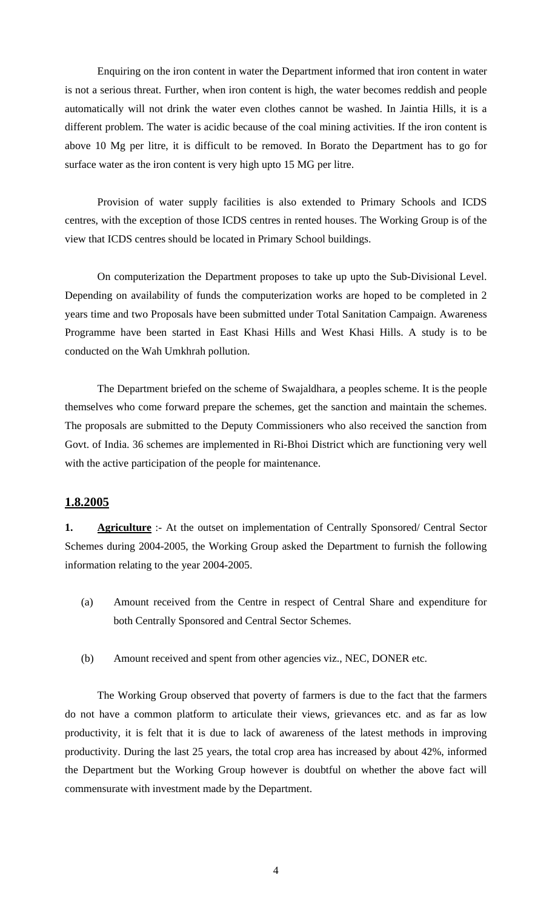Enquiring on the iron content in water the Department informed that iron content in water is not a serious threat. Further, when iron content is high, the water becomes reddish and people automatically will not drink the water even clothes cannot be washed. In Jaintia Hills, it is a different problem. The water is acidic because of the coal mining activities. If the iron content is above 10 Mg per litre, it is difficult to be removed. In Borato the Department has to go for surface water as the iron content is very high upto 15 MG per litre.

 Provision of water supply facilities is also extended to Primary Schools and ICDS centres, with the exception of those ICDS centres in rented houses. The Working Group is of the view that ICDS centres should be located in Primary School buildings.

 On computerization the Department proposes to take up upto the Sub-Divisional Level. Depending on availability of funds the computerization works are hoped to be completed in 2 years time and two Proposals have been submitted under Total Sanitation Campaign. Awareness Programme have been started in East Khasi Hills and West Khasi Hills. A study is to be conducted on the Wah Umkhrah pollution.

 The Department briefed on the scheme of Swajaldhara, a peoples scheme. It is the people themselves who come forward prepare the schemes, get the sanction and maintain the schemes. The proposals are submitted to the Deputy Commissioners who also received the sanction from Govt. of India. 36 schemes are implemented in Ri-Bhoi District which are functioning very well with the active participation of the people for maintenance.

# **1.8.2005**

**1. Agriculture** :- At the outset on implementation of Centrally Sponsored/ Central Sector Schemes during 2004-2005, the Working Group asked the Department to furnish the following information relating to the year 2004-2005.

- (a) Amount received from the Centre in respect of Central Share and expenditure for both Centrally Sponsored and Central Sector Schemes.
- (b) Amount received and spent from other agencies viz., NEC, DONER etc.

 The Working Group observed that poverty of farmers is due to the fact that the farmers do not have a common platform to articulate their views, grievances etc. and as far as low productivity, it is felt that it is due to lack of awareness of the latest methods in improving productivity. During the last 25 years, the total crop area has increased by about 42%, informed the Department but the Working Group however is doubtful on whether the above fact will commensurate with investment made by the Department.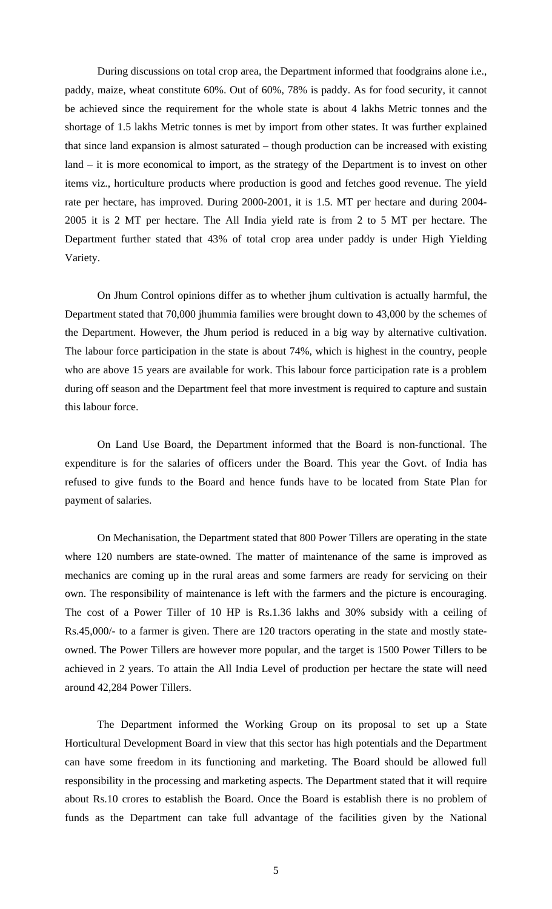During discussions on total crop area, the Department informed that foodgrains alone i.e., paddy, maize, wheat constitute 60%. Out of 60%, 78% is paddy. As for food security, it cannot be achieved since the requirement for the whole state is about 4 lakhs Metric tonnes and the shortage of 1.5 lakhs Metric tonnes is met by import from other states. It was further explained that since land expansion is almost saturated – though production can be increased with existing land – it is more economical to import, as the strategy of the Department is to invest on other items viz., horticulture products where production is good and fetches good revenue. The yield rate per hectare, has improved. During 2000-2001, it is 1.5. MT per hectare and during 2004- 2005 it is 2 MT per hectare. The All India yield rate is from 2 to 5 MT per hectare. The Department further stated that 43% of total crop area under paddy is under High Yielding Variety.

 On Jhum Control opinions differ as to whether jhum cultivation is actually harmful, the Department stated that 70,000 jhummia families were brought down to 43,000 by the schemes of the Department. However, the Jhum period is reduced in a big way by alternative cultivation. The labour force participation in the state is about 74%, which is highest in the country, people who are above 15 years are available for work. This labour force participation rate is a problem during off season and the Department feel that more investment is required to capture and sustain this labour force.

 On Land Use Board, the Department informed that the Board is non-functional. The expenditure is for the salaries of officers under the Board. This year the Govt. of India has refused to give funds to the Board and hence funds have to be located from State Plan for payment of salaries.

 On Mechanisation, the Department stated that 800 Power Tillers are operating in the state where 120 numbers are state-owned. The matter of maintenance of the same is improved as mechanics are coming up in the rural areas and some farmers are ready for servicing on their own. The responsibility of maintenance is left with the farmers and the picture is encouraging. The cost of a Power Tiller of 10 HP is Rs.1.36 lakhs and 30% subsidy with a ceiling of Rs.45,000/- to a farmer is given. There are 120 tractors operating in the state and mostly stateowned. The Power Tillers are however more popular, and the target is 1500 Power Tillers to be achieved in 2 years. To attain the All India Level of production per hectare the state will need around 42,284 Power Tillers.

 The Department informed the Working Group on its proposal to set up a State Horticultural Development Board in view that this sector has high potentials and the Department can have some freedom in its functioning and marketing. The Board should be allowed full responsibility in the processing and marketing aspects. The Department stated that it will require about Rs.10 crores to establish the Board. Once the Board is establish there is no problem of funds as the Department can take full advantage of the facilities given by the National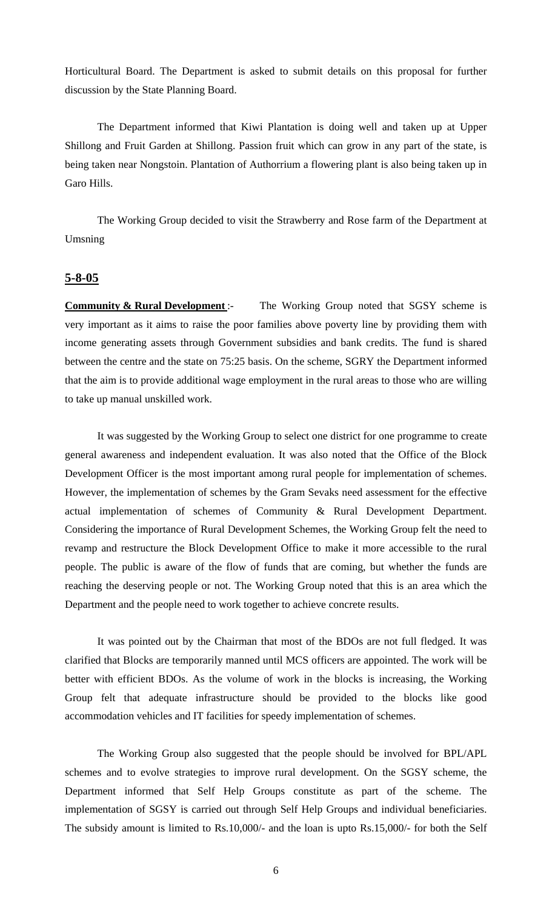Horticultural Board. The Department is asked to submit details on this proposal for further discussion by the State Planning Board.

 The Department informed that Kiwi Plantation is doing well and taken up at Upper Shillong and Fruit Garden at Shillong. Passion fruit which can grow in any part of the state, is being taken near Nongstoin. Plantation of Authorrium a flowering plant is also being taken up in Garo Hills.

 The Working Group decided to visit the Strawberry and Rose farm of the Department at Umsning

## **5-8-05**

**Community & Rural Development**: The Working Group noted that SGSY scheme is very important as it aims to raise the poor families above poverty line by providing them with income generating assets through Government subsidies and bank credits. The fund is shared between the centre and the state on 75:25 basis. On the scheme, SGRY the Department informed that the aim is to provide additional wage employment in the rural areas to those who are willing to take up manual unskilled work.

 It was suggested by the Working Group to select one district for one programme to create general awareness and independent evaluation. It was also noted that the Office of the Block Development Officer is the most important among rural people for implementation of schemes. However, the implementation of schemes by the Gram Sevaks need assessment for the effective actual implementation of schemes of Community & Rural Development Department. Considering the importance of Rural Development Schemes, the Working Group felt the need to revamp and restructure the Block Development Office to make it more accessible to the rural people. The public is aware of the flow of funds that are coming, but whether the funds are reaching the deserving people or not. The Working Group noted that this is an area which the Department and the people need to work together to achieve concrete results.

 It was pointed out by the Chairman that most of the BDOs are not full fledged. It was clarified that Blocks are temporarily manned until MCS officers are appointed. The work will be better with efficient BDOs. As the volume of work in the blocks is increasing, the Working Group felt that adequate infrastructure should be provided to the blocks like good accommodation vehicles and IT facilities for speedy implementation of schemes.

 The Working Group also suggested that the people should be involved for BPL/APL schemes and to evolve strategies to improve rural development. On the SGSY scheme, the Department informed that Self Help Groups constitute as part of the scheme. The implementation of SGSY is carried out through Self Help Groups and individual beneficiaries. The subsidy amount is limited to Rs.10,000/- and the loan is upto Rs.15,000/- for both the Self